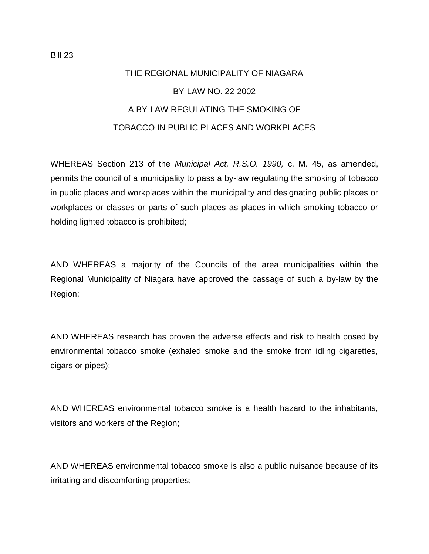# THE REGIONAL MUNICIPALITY OF NIAGARA BY-LAW NO. 22-2002 A BY-LAW REGULATING THE SMOKING OF TOBACCO IN PUBLIC PLACES AND WORKPLACES

WHEREAS Section 213 of the *Municipal Act, R.S.O. 1990,* c. M. 45, as amended, permits the council of a municipality to pass a by-law regulating the smoking of tobacco in public places and workplaces within the municipality and designating public places or workplaces or classes or parts of such places as places in which smoking tobacco or holding lighted tobacco is prohibited;

AND WHEREAS a majority of the Councils of the area municipalities within the Regional Municipality of Niagara have approved the passage of such a by-law by the Region;

AND WHEREAS research has proven the adverse effects and risk to health posed by environmental tobacco smoke (exhaled smoke and the smoke from idling cigarettes, cigars or pipes);

AND WHEREAS environmental tobacco smoke is a health hazard to the inhabitants, visitors and workers of the Region;

AND WHEREAS environmental tobacco smoke is also a public nuisance because of its irritating and discomforting properties;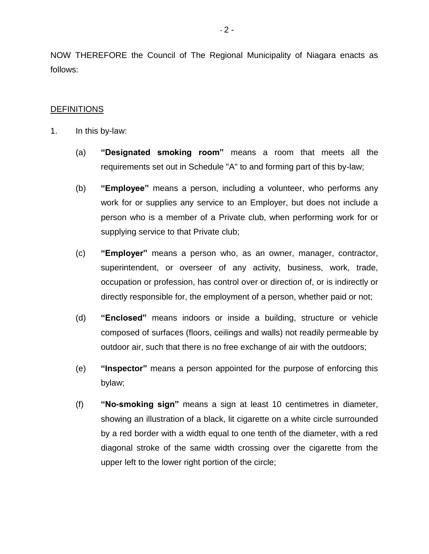NOW THEREFORE the Council of The Regional Municipality of Niagara enacts as follows:

#### **DEFINITIONS**

- 1. In this by-law:
	- (a) **"Designated smoking room"** means a room that meets all the requirements set out in Schedule "A" to and forming part of this by-law;
	- (b) **"Employee"** means a person, including a volunteer, who performs any work for or supplies any service to an Employer, but does not include a person who is a member of a Private club, when performing work for or supplying service to that Private club;
	- (c) **"Employer"** means a person who, as an owner, manager, contractor, superintendent, or overseer of any activity, business, work, trade, occupation or profession, has control over or direction of, or is indirectly or directly responsible for, the employment of a person, whether paid or not;
	- (d) **"Enclosed"** means indoors or inside a building, structure or vehicle composed of surfaces (floors, ceilings and walls) not readily permeable by outdoor air, such that there is no free exchange of air with the outdoors;
	- (e) **"Inspector"** means a person appointed for the purpose of enforcing this bylaw;
	- (f) **"No-smoking sign"** means a sign at least 10 centimetres in diameter, showing an illustration of a black, lit cigarette on a white circle surrounded by a red border with a width equal to one tenth of the diameter, with a red diagonal stroke of the same width crossing over the cigarette from the upper left to the lower right portion of the circle;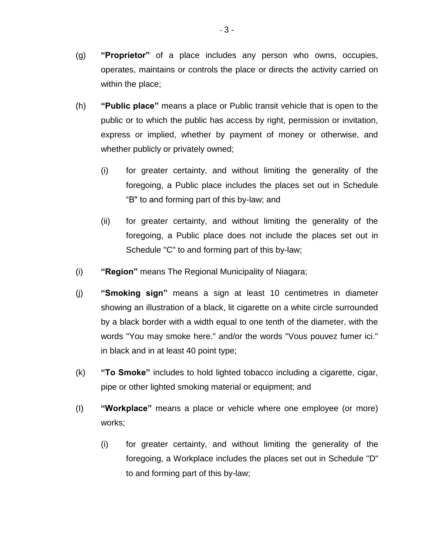- (g) **"Proprietor"** of a place includes any person who owns, occupies, operates, maintains or controls the place or directs the activity carried on within the place;
- (h) **"Public place"** means a place or Public transit vehicle that is open to the public or to which the public has access by right, permission or invitation, express or implied, whether by payment of money or otherwise, and whether publicly or privately owned;
	- (i) for greater certainty, and without limiting the generality of the foregoing, a Public place includes the places set out in Schedule "B" to and forming part of this by-law; and
	- (ii) for greater certainty, and without limiting the generality of the foregoing, a Public place does not include the places set out in Schedule "C" to and forming part of this by-law;
- (i) **"Region"** means The Regional Municipality of Niagara;
- (j) **"Smoking sign"** means a sign at least 10 centimetres in diameter showing an illustration of a black, lit cigarette on a white circle surrounded by a black border with a width equal to one tenth of the diameter, with the words "You may smoke here." and/or the words "Vous pouvez fumer ici." in black and in at least 40 point type;
- (k) **"To Smoke"** includes to hold lighted tobacco including a cigarette, cigar, pipe or other lighted smoking material or equipment; and
- (I) **"Workplace"** means a place or vehicle where one employee (or more) works;
	- (i) for greater certainty, and without limiting the generality of the foregoing, a Workplace includes the places set out in Schedule "D" to and forming part of this by-law;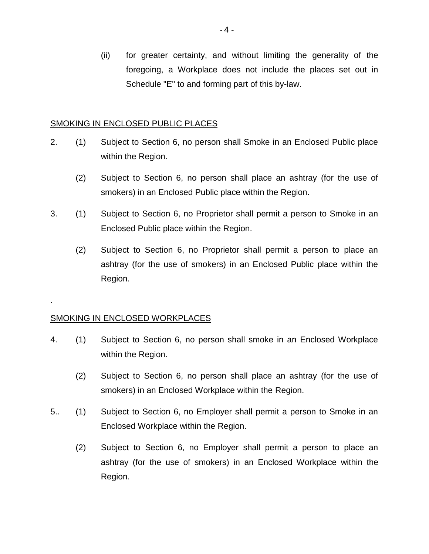(ii) for greater certainty, and without limiting the generality of the foregoing, a Workplace does not include the places set out in Schedule "E" to and forming part of this by-law.

#### SMOKING IN ENCLOSED PUBLIC PLACES

- 2. (1) Subject to Section 6, no person shall Smoke in an Enclosed Public place within the Region.
	- (2) Subject to Section 6, no person shall place an ashtray (for the use of smokers) in an Enclosed Public place within the Region.
- 3. (1) Subject to Section 6, no Proprietor shall permit a person to Smoke in an Enclosed Public place within the Region.
	- (2) Subject to Section 6, no Proprietor shall permit a person to place an ashtray (for the use of smokers) in an Enclosed Public place within the Region.

#### SMOKING IN ENCLOSED WORKPLACES

.

- 4. (1) Subject to Section 6, no person shall smoke in an Enclosed Workplace within the Region.
	- (2) Subject to Section 6, no person shall place an ashtray (for the use of smokers) in an Enclosed Workplace within the Region.
- 5.. (1) Subject to Section 6, no Employer shall permit a person to Smoke in an Enclosed Workplace within the Region.
	- (2) Subject to Section 6, no Employer shall permit a person to place an ashtray (for the use of smokers) in an Enclosed Workplace within the Region.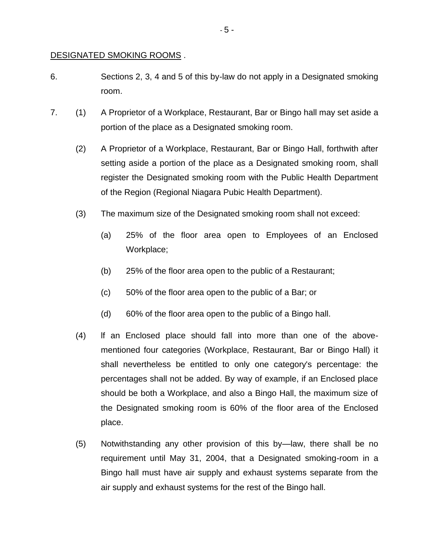#### DESIGNATED SMOKING ROOMS.

- 6. Sections 2, 3, 4 and 5 of this by-law do not apply in a Designated smoking room.
- 7. (1) A Proprietor of a Workplace, Restaurant, Bar or Bingo hall may set aside a portion of the place as a Designated smoking room.
	- (2) A Proprietor of a Workplace, Restaurant, Bar or Bingo Hall, forthwith after setting aside a portion of the place as a Designated smoking room, shall register the Designated smoking room with the Public Health Department of the Region (Regional Niagara Pubic Health Department).
	- (3) The maximum size of the Designated smoking room shall not exceed:
		- (a) 25% of the floor area open to Employees of an Enclosed Workplace;
		- (b) 25% of the floor area open to the public of a Restaurant;
		- (c) 50% of the floor area open to the public of a Bar; or
		- (d) 60% of the floor area open to the public of a Bingo hall.
	- (4) lf an Enclosed place should fall into more than one of the abovementioned four categories (Workplace, Restaurant, Bar or Bingo Hall) it shall nevertheless be entitled to only one category's percentage: the percentages shall not be added. By way of example, if an Enclosed place should be both a Workplace, and also a Bingo Hall, the maximum size of the Designated smoking room is 60% of the floor area of the Enclosed place.
	- (5) Notwithstanding any other provision of this by—law, there shall be no requirement until May 31, 2004, that a Designated smoking-room in a Bingo hall must have air supply and exhaust systems separate from the air supply and exhaust systems for the rest of the Bingo hall.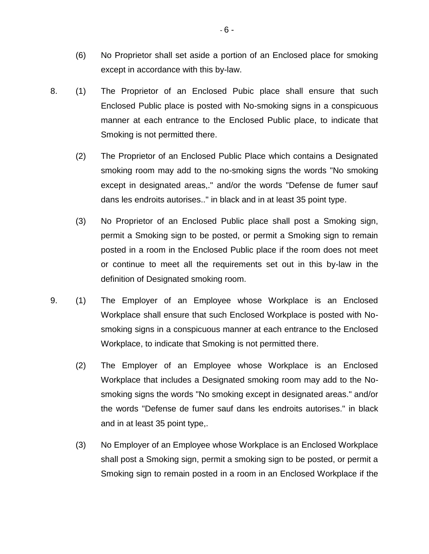- (6) No Proprietor shall set aside a portion of an Enclosed place for smoking except in accordance with this by-law.
- 8. (1) The Proprietor of an Enclosed Pubic place shall ensure that such Enclosed Public place is posted with No-smoking signs in a conspicuous manner at each entrance to the Enclosed Public place, to indicate that Smoking is not permitted there.
	- (2) The Proprietor of an Enclosed Public Place which contains a Designated smoking room may add to the no-smoking signs the words "No smoking except in designated areas,." and/or the words "Defense de fumer sauf dans les endroits autorises.." in black and in at least 35 point type.
	- (3) No Proprietor of an Enclosed Public place shall post a Smoking sign, permit a Smoking sign to be posted, or permit a Smoking sign to remain posted in a room in the Enclosed Public place if the room does not meet or continue to meet all the requirements set out in this by-law in the definition of Designated smoking room.
- 9. (1) The Employer of an Employee whose Workplace is an Enclosed Workplace shall ensure that such Enclosed Workplace is posted with Nosmoking signs in a conspicuous manner at each entrance to the Enclosed Workplace, to indicate that Smoking is not permitted there.
	- (2) The Employer of an Employee whose Workplace is an Enclosed Workplace that includes a Designated smoking room may add to the Nosmoking signs the words "No smoking except in designated areas." and/or the words "Defense de fumer sauf dans les endroits autorises." in black and in at least 35 point type,.
	- (3) No Employer of an Employee whose Workplace is an Enclosed Workplace shall post a Smoking sign, permit a smoking sign to be posted, or permit a Smoking sign to remain posted in a room in an Enclosed Workplace if the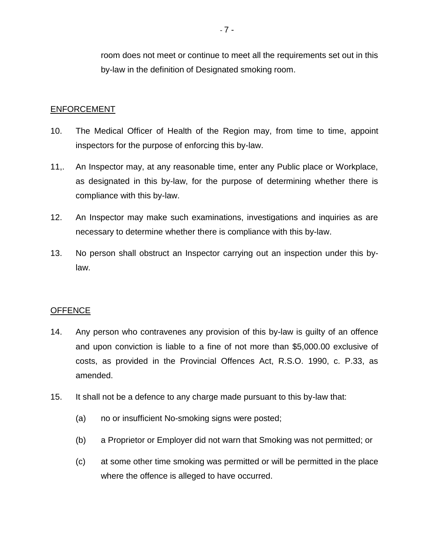room does not meet or continue to meet all the requirements set out in this by-law in the definition of Designated smoking room.

#### ENFORCEMENT

- 10. The Medical Officer of Health of the Region may, from time to time, appoint inspectors for the purpose of enforcing this by-law.
- 11,. An Inspector may, at any reasonable time, enter any Public place or Workplace, as designated in this by-law, for the purpose of determining whether there is compliance with this by-law.
- 12. An Inspector may make such examinations, investigations and inquiries as are necessary to determine whether there is compliance with this by-law.
- 13. No person shall obstruct an Inspector carrying out an inspection under this bylaw.

#### OFFENCE

- 14. Any person who contravenes any provision of this by-law is guilty of an offence and upon conviction is liable to a fine of not more than \$5,000.00 exclusive of costs, as provided in the Provincial Offences Act, R.S.O. 1990, c. P.33, as amended.
- 15. It shall not be a defence to any charge made pursuant to this by-law that:
	- (a) no or insufficient No-smoking signs were posted;
	- (b) a Proprietor or Employer did not warn that Smoking was not permitted; or
	- (c) at some other time smoking was permitted or will be permitted in the place where the offence is alleged to have occurred.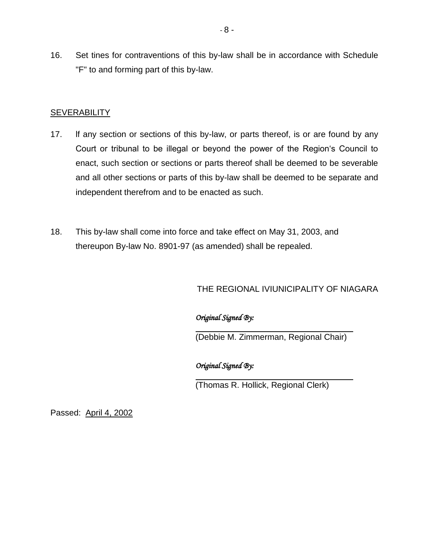16. Set tines for contraventions of this by-law shall be in accordance with Schedule "F" to and forming part of this by-law.

## **SEVERABILITY**

- 17. lf any section or sections of this by-law, or parts thereof, is or are found by any Court or tribunal to be illegal or beyond the power of the Region's Council to enact, such section or sections or parts thereof shall be deemed to be severable and all other sections or parts of this by-law shall be deemed to be separate and independent therefrom and to be enacted as such.
- 18. This by-law shall come into force and take effect on May 31, 2003, and thereupon By-law No. 8901-97 (as amended) shall be repealed.

THE REGIONAL IVIUNICIPALITY OF NIAGARA

# *Original Signed By:*

(Debbie M. Zimmerman, Regional Chair)

#### *Original Signed By:*

(Thomas R. Hollick, Regional Clerk)

Passed: April 4, 2002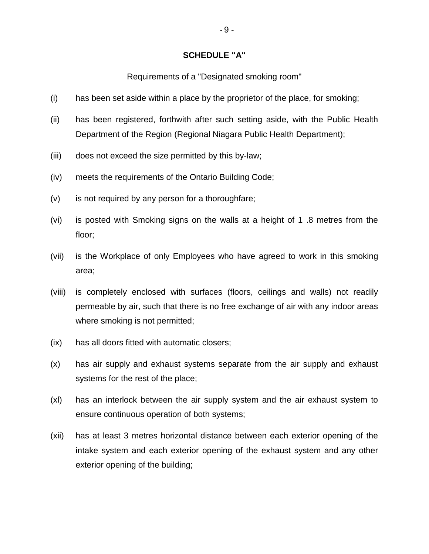#### **SCHEDULE "A"**

#### Requirements of a "Designated smoking room"

- (i) has been set aside within a place by the proprietor of the place, for smoking;
- (ii) has been registered, forthwith after such setting aside, with the Public Health Department of the Region (Regional Niagara Public Health Department);
- (iii) does not exceed the size permitted by this by-law;
- (iv) meets the requirements of the Ontario Building Code;
- (v) is not required by any person for a thoroughfare;
- (vi) is posted with Smoking signs on the walls at a height of 1 .8 metres from the floor;
- (vii) is the Workplace of only Employees who have agreed to work in this smoking area;
- (viii) is completely enclosed with surfaces (floors, ceilings and walls) not readily permeable by air, such that there is no free exchange of air with any indoor areas where smoking is not permitted;
- (ix) has all doors fitted with automatic closers;
- (x) has air supply and exhaust systems separate from the air supply and exhaust systems for the rest of the place;
- (xl) has an interlock between the air supply system and the air exhaust system to ensure continuous operation of both systems;
- (xii) has at least 3 metres horizontal distance between each exterior opening of the intake system and each exterior opening of the exhaust system and any other exterior opening of the building;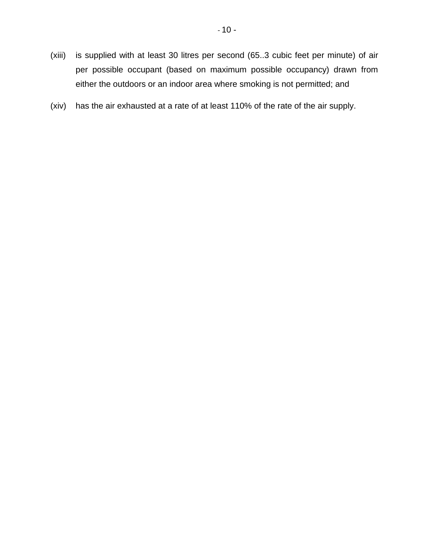- (xiii) is supplied with at least 30 litres per second (65..3 cubic feet per minute) of air per possible occupant (based on maximum possible occupancy) drawn from either the outdoors or an indoor area where smoking is not permitted; and
- (xiv) has the air exhausted at a rate of at least 110% of the rate of the air supply.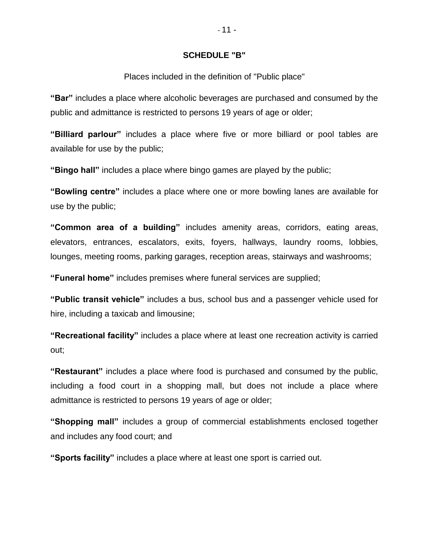#### **SCHEDULE "B"**

#### Places included in the definition of "Public place"

**"Bar"** includes a place where alcoholic beverages are purchased and consumed by the public and admittance is restricted to persons 19 years of age or older;

**"Billiard parlour"** includes a place where five or more billiard or pool tables are available for use by the public;

**"Bingo hall"** includes a place where bingo games are played by the public;

**"Bowling centre"** includes a place where one or more bowling lanes are available for use by the public;

**"Common area of a building"** includes amenity areas, corridors, eating areas, elevators, entrances, escalators, exits, foyers, hallways, laundry rooms, lobbies, lounges, meeting rooms, parking garages, reception areas, stairways and washrooms;

**"Funeral home"** includes premises where funeral services are supplied;

**"Public transit vehicle"** includes a bus, school bus and a passenger vehicle used for hire, including a taxicab and limousine;

**"Recreational facility"** includes a place where at least one recreation activity is carried out;

**"Restaurant"** includes a place where food is purchased and consumed by the public, including a food court in a shopping mall, but does not include a place where admittance is restricted to persons 19 years of age or older;

**"Shopping mall"** includes a group of commercial establishments enclosed together and includes any food court; and

**"Sports facility"** includes a place where at least one sport is carried out.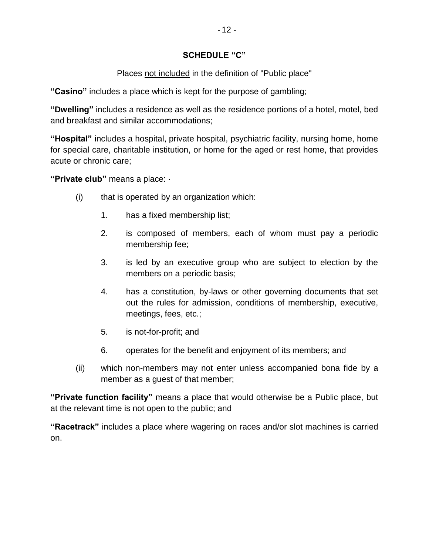## **SCHEDULE "C"**

# Places not included in the definition of "Public place"

**"Casino"** includes a place which is kept for the purpose of gambling;

**"Dwelling"** includes a residence as well as the residence portions of a hotel, motel, bed and breakfast and similar accommodations;

**"Hospital"** includes a hospital, private hospital, psychiatric facility, nursing home, home for special care, charitable institution, or home for the aged or rest home, that provides acute or chronic care;

**"Private club"** means a place: ·

- $(i)$  that is operated by an organization which:
	- 1. has a fixed membership list;
	- 2. is composed of members, each of whom must pay a periodic membership fee;
	- 3. is led by an executive group who are subject to election by the members on a periodic basis;
	- 4. has a constitution, by-laws or other governing documents that set out the rules for admission, conditions of membership, executive, meetings, fees, etc.;
	- 5. is not-for-profit; and
	- 6. operates for the benefit and enjoyment of its members; and
- (ii) which non-members may not enter unless accompanied bona fide by a member as a guest of that member;

**"Private function facility"** means a place that would otherwise be a Public place, but at the relevant time is not open to the public; and

**"Racetrack"** includes a place where wagering on races and/or slot machines is carried on.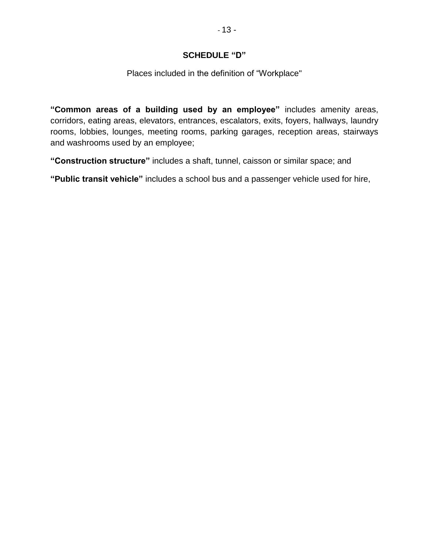## **SCHEDULE "D"**

#### Places included in the definition of "Workplace"

**"Common areas of a building used by an employee"** includes amenity areas, corridors, eating areas, elevators, entrances, escalators, exits, foyers, hallways, laundry rooms, lobbies, lounges, meeting rooms, parking garages, reception areas, stairways and washrooms used by an employee;

**"Construction structure"** includes a shaft, tunnel, caisson or similar space; and

**"Public transit vehicle"** includes a school bus and a passenger vehicle used for hire,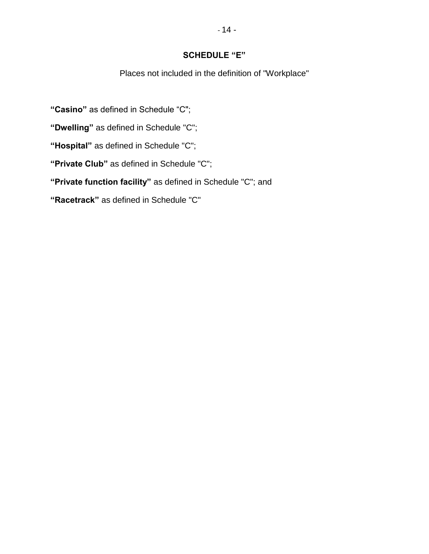# **SCHEDULE "E"**

Places not included in the definition of "Workplace"

**"Casino"** as defined in Schedule "C";

**"Dwelling"** as defined in Schedule "C";

**"Hospital"** as defined in Schedule "C";

**"Private Club"** as defined in Schedule "C";

**"Private function facility"** as defined in Schedule "C"; and

**"Racetrack"** as defined in Schedule "C"